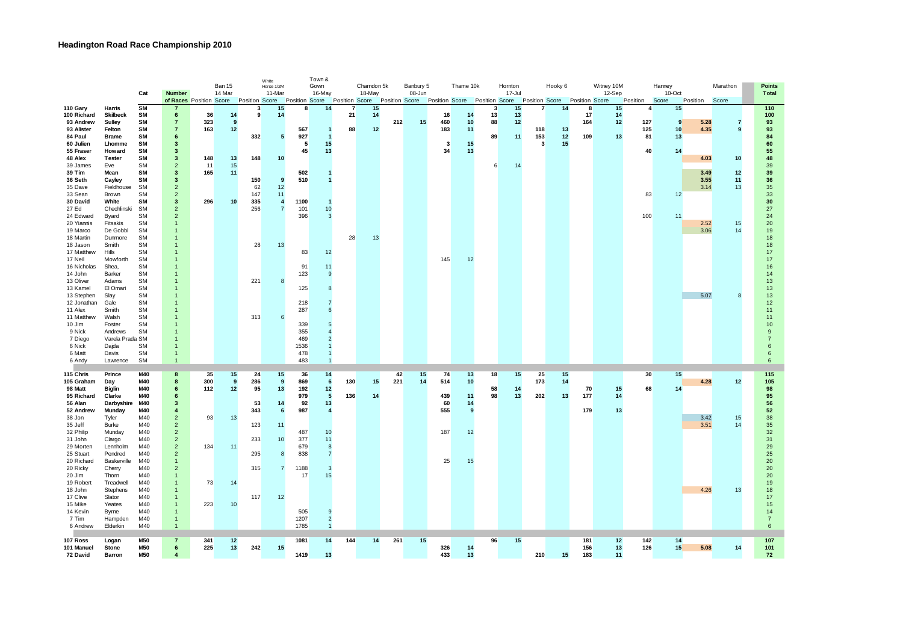|                      |                        |                        |                              |     |        |                       | White           |              | Town &                                                                                                   |     |             |     |           |     |                          |    |         |     |         |     |            |                 |        |          |          |                     |
|----------------------|------------------------|------------------------|------------------------------|-----|--------|-----------------------|-----------------|--------------|----------------------------------------------------------------------------------------------------------|-----|-------------|-----|-----------|-----|--------------------------|----|---------|-----|---------|-----|------------|-----------------|--------|----------|----------|---------------------|
|                      |                        |                        |                              |     | Ban 15 |                       | Horse 1/2M      |              | Gown                                                                                                     |     | Charndon 5k |     | Banbury 5 |     | Thame 10k                |    | Hornton |     | Hooky 6 |     | Witney 10M |                 | Hanney |          | Marathon | <b>Points</b>       |
|                      |                        | Cat                    | <b>Number</b>                |     | 14 Mar |                       | 11-Mar          |              | 16-May                                                                                                   |     | 18-May      |     | 08-Jun    |     |                          |    | 17-Jul  |     |         |     | 12-Sep     |                 | 10-Oct |          |          | Total               |
|                      |                        |                        | of Races Position Score      |     |        | <b>Position Score</b> |                 |              | Position Score Position Score Position Score Position Score Position Score Position Score Position Score |     |             |     |           |     |                          |    |         |     |         |     |            | Position        | Score  | Position | Score    |                     |
| 110 Gary             | Harris                 | <b>SM</b>              | 7                            |     |        | 3                     | 15              | 8            | 14                                                                                                       |     | 15          |     |           |     |                          | 3  | 15      | 7   | 14      | 8   | 15         | 4               | 15     |          |          | 110                 |
| 100 Richard          | <b>Skilbeck</b>        | <b>SM</b>              | 6                            | 36  | 14     | 9                     | 14              |              |                                                                                                          | 21  | 14          |     |           | 16  | 14                       | 13 | 13      |     |         | 17  | 14         |                 |        |          |          | 100                 |
| 93 Andrew            | <b>Sulley</b>          | SM                     | $\overline{7}$               | 323 | 9      |                       |                 |              |                                                                                                          |     |             | 212 | 15        | 460 | 10                       | 88 | 12      |     |         | 164 | 12         | 127             | 9      | 5.28     |          | 93                  |
| 93 Alister           | Felton<br><b>Brame</b> | SM                     | 7                            | 163 | 12     |                       |                 | 567          | -1<br>$\overline{1}$                                                                                     | 88  | 12          |     |           | 183 | 11                       |    |         | 118 | 13      | 109 |            | 125             | 10     | 4.35     | 9        | 93<br>84            |
| 84 Paul              |                        | SM                     | 6                            |     |        | 332                   | 5               | 927<br>5     |                                                                                                          |     |             |     |           |     |                          | 89 | 11      | 153 | 12      |     | 13         | 81              | 13     |          |          |                     |
| 60 Julien            | Lhomme                 | <b>SM</b><br><b>SM</b> | -3<br>3                      |     |        |                       |                 | 45           | 15                                                                                                       |     |             |     |           | 34  | 15<br>$\mathbf{3}$<br>13 |    |         | 3   | 15      |     |            | 40              |        |          |          | 60                  |
| 55 Fraser<br>48 Alex | Howard<br>Tester       | SM                     | -3                           | 148 | 13     | 148                   | 10              |              | 13                                                                                                       |     |             |     |           |     |                          |    |         |     |         |     |            |                 | 14     | 4.03     | 10       | 55<br>48            |
| 39 James             | Eve                    | <b>SM</b>              | $\overline{2}$               | 11  | 15     |                       |                 |              |                                                                                                          |     |             |     |           |     |                          | 6  | 14      |     |         |     |            |                 |        |          |          | 39                  |
| 39 Tim               | Mean                   | SM                     | 3                            | 165 | 11     |                       |                 | 502          |                                                                                                          |     |             |     |           |     |                          |    |         |     |         |     |            |                 |        | 3.49     | 12       | 39                  |
| 36 Seth              | Cayley                 | SM                     | 3                            |     |        | 150                   | 9               | 510          |                                                                                                          |     |             |     |           |     |                          |    |         |     |         |     |            |                 |        | 3.55     | 11       | 36                  |
| 35 Dave              | Fieldhouse             | SM                     | $\overline{2}$               |     |        | 62                    | 12              |              |                                                                                                          |     |             |     |           |     |                          |    |         |     |         |     |            |                 |        | 3.14     | 13       | $35\,$              |
| 33 Sean              | Brown                  | SM                     | $\overline{2}$               |     |        | 147                   | 11              |              |                                                                                                          |     |             |     |           |     |                          |    |         |     |         |     |            | 83              | 12     |          |          | 33                  |
| 30 David             | White                  | SM                     | 3                            | 296 | 10     | 335                   | $\overline{4}$  | 1100         | -1                                                                                                       |     |             |     |           |     |                          |    |         |     |         |     |            |                 |        |          |          | 30                  |
| 27 Ed                | Chechlinski            | SM                     | $\overline{2}$               |     |        | 256                   | $\overline{7}$  | 101          | 10                                                                                                       |     |             |     |           |     |                          |    |         |     |         |     |            |                 |        |          |          | 27                  |
| 24 Edward            | Byard                  | SM                     | $\overline{2}$               |     |        |                       |                 | 396          | 3                                                                                                        |     |             |     |           |     |                          |    |         |     |         |     |            | 100             | 11     |          |          | 24                  |
| 20 Yiannis           | Fitsakis               | SM                     | $\mathbf{1}$                 |     |        |                       |                 |              |                                                                                                          |     |             |     |           |     |                          |    |         |     |         |     |            |                 |        | 2.52     | 15       | 20                  |
| 19 Marco             | De Gobbi               | <b>SM</b>              |                              |     |        |                       |                 |              |                                                                                                          |     |             |     |           |     |                          |    |         |     |         |     |            |                 |        | 3.06     | 14       | 19                  |
| 18 Martin            | Dunmore                | <b>SM</b>              |                              |     |        |                       |                 |              |                                                                                                          | 28  | 13          |     |           |     |                          |    |         |     |         |     |            |                 |        |          |          | 18                  |
| 18 Jason             | Smith                  | SM                     |                              |     |        | 28                    | 13              |              |                                                                                                          |     |             |     |           |     |                          |    |         |     |         |     |            |                 |        |          |          | 18                  |
| 17 Matthew           | Hills                  | SM                     |                              |     |        |                       |                 | 83           | 12                                                                                                       |     |             |     |           |     |                          |    |         |     |         |     |            |                 |        |          |          | 17                  |
| 17 Neil              | Mowforth               | SM                     |                              |     |        |                       |                 |              |                                                                                                          |     |             |     |           | 145 | 12                       |    |         |     |         |     |            |                 |        |          |          | 17                  |
| 16 Nicholas          | Shea,                  | <b>SM</b>              |                              |     |        |                       |                 | 91           | 11                                                                                                       |     |             |     |           |     |                          |    |         |     |         |     |            |                 |        |          |          | 16                  |
| 14 John              | Barker                 | SM                     |                              |     |        |                       |                 | 123          | 9                                                                                                        |     |             |     |           |     |                          |    |         |     |         |     |            |                 |        |          |          | 14                  |
| 13 Oliver            | Adams                  | SM                     |                              |     |        | 221                   |                 |              |                                                                                                          |     |             |     |           |     |                          |    |         |     |         |     |            |                 |        |          |          | 13                  |
| 13 Kamel             | El Omari               | SM                     |                              |     |        |                       |                 | 125          | 8                                                                                                        |     |             |     |           |     |                          |    |         |     |         |     |            |                 |        |          |          | 13                  |
| 13 Stephen           | Slay                   | SM                     |                              |     |        |                       |                 |              |                                                                                                          |     |             |     |           |     |                          |    |         |     |         |     |            |                 |        | 5.07     |          | 13                  |
| 12 Jonathan          | Gale                   | SM                     |                              |     |        |                       |                 | 218          |                                                                                                          |     |             |     |           |     |                          |    |         |     |         |     |            |                 |        |          |          | 12                  |
| 11 Alex              | Smith                  | SM                     |                              |     |        |                       |                 | 287          | 6                                                                                                        |     |             |     |           |     |                          |    |         |     |         |     |            |                 |        |          |          | 11                  |
| 11 Matthew           | Walsh                  | SM                     |                              |     |        | 313                   |                 |              |                                                                                                          |     |             |     |           |     |                          |    |         |     |         |     |            |                 |        |          |          | 11                  |
| 10 Jim               | Foster                 | <b>SM</b>              |                              |     |        |                       |                 | 339          |                                                                                                          |     |             |     |           |     |                          |    |         |     |         |     |            |                 |        |          |          | 10                  |
| 9 Nick               | Andrews                | <b>SM</b>              |                              |     |        |                       |                 | 355          |                                                                                                          |     |             |     |           |     |                          |    |         |     |         |     |            |                 |        |          |          | 9                   |
| 7 Diego              | Varela Prada SM        |                        |                              |     |        |                       |                 | 469          |                                                                                                          |     |             |     |           |     |                          |    |         |     |         |     |            |                 |        |          |          |                     |
| 6 Nick               | Dajda                  | <b>SM</b><br>SM        | -1<br>-1                     |     |        |                       |                 | 1536<br>478  |                                                                                                          |     |             |     |           |     |                          |    |         |     |         |     |            |                 |        |          |          | 6<br>6              |
| 6 Matt<br>6 Andy     | Davis<br>Lawrence      | <b>SM</b>              | $\overline{1}$               |     |        |                       |                 | 483          |                                                                                                          |     |             |     |           |     |                          |    |         |     |         |     |            |                 |        |          |          | 6                   |
|                      |                        |                        |                              |     |        |                       |                 |              |                                                                                                          |     |             |     |           |     |                          |    |         |     |         |     |            |                 |        |          |          |                     |
| 115 Chris            | Prince                 | M40                    | 8                            | 35  | 15     | 24                    | 15              | 36           | 14                                                                                                       |     |             | 42  | 15        | 74  | 13                       | 18 | 15      | 25  | 15      |     |            | 30 <sub>2</sub> | 15     |          |          | 115                 |
| 105 Graham           | Day                    | M40                    | 8                            | 300 | 9      | 286                   | 9               | 869          | 6                                                                                                        | 130 | 15          | 221 | 14        | 514 | 10                       |    |         | 173 | 14      |     |            |                 |        | 4.28     | 12       | 105                 |
| 98 Matt              | Biglin                 | M40                    | 6                            | 112 | 12     | 95                    | 13              | 192          | 12                                                                                                       |     |             |     |           |     |                          | 58 | 14      |     |         | 70  | 15         | 68              | 14     |          |          | 98                  |
| 95 Richard           | Clarke                 | M40                    | 6                            |     |        |                       |                 | 979          | $\sqrt{5}$                                                                                               | 136 | 14          |     |           | 439 | 11                       | 98 | 13      | 202 | 13      | 177 | 14         |                 |        |          |          | 95                  |
| 56 Alan              | Darbyshire             | M40                    | -3                           |     |        | 53                    | 14              | 92           | 13                                                                                                       |     |             |     |           | 60  | 14                       |    |         |     |         |     |            |                 |        |          |          | 56                  |
| 52 Andrew            | Munday                 | M40                    | $\overline{4}$               |     |        | 343                   | 6               | 987          | $\boldsymbol{\Lambda}$                                                                                   |     |             |     |           | 555 | 9                        |    |         |     |         | 179 | 13         |                 |        |          |          | ${\bf 52}$          |
| 38 Jon               | Tyler                  | M40                    | $\overline{2}$               | 93  | 13     |                       |                 |              |                                                                                                          |     |             |     |           |     |                          |    |         |     |         |     |            |                 |        | 3.42     | 15       | $38\,$              |
| 35 Jeff              | Burke                  | M40                    | $\overline{2}$               |     |        | 123                   | 11              |              |                                                                                                          |     |             |     |           |     |                          |    |         |     |         |     |            |                 |        | 3.51     | 14       | $35\,$              |
| 32 Philip            | Munday                 | M40                    | $\overline{2}$               |     |        |                       |                 | 487          | 10                                                                                                       |     |             |     |           | 187 | 12                       |    |         |     |         |     |            |                 |        |          |          | 32                  |
| 31 John              | Clargo                 | M40                    | $\overline{2}$               |     |        | 233                   | 10 <sup>°</sup> | 377          | 11                                                                                                       |     |             |     |           |     |                          |    |         |     |         |     |            |                 |        |          |          | 31                  |
| 29 Morten            | Lennholm               | M40                    | $\overline{2}$               | 134 | 11     |                       |                 | 679          | 8                                                                                                        |     |             |     |           |     |                          |    |         |     |         |     |            |                 |        |          |          | 29                  |
| 25 Stuart            | Pendred                | M40                    | $\overline{2}$               |     |        | 295                   | 8               | 838          | -7                                                                                                       |     |             |     |           |     |                          |    |         |     |         |     |            |                 |        |          |          | 25                  |
| 20 Richard           | Baskerville            | M40                    | $\mathbf{1}$                 |     |        |                       |                 |              |                                                                                                          |     |             |     |           | 25  | 15                       |    |         |     |         |     |            |                 |        |          |          | 20                  |
| 20 Ricky             | Cherry                 | M40                    | $\overline{2}$               |     |        | 315                   | $\overline{7}$  | 1188         | -3                                                                                                       |     |             |     |           |     |                          |    |         |     |         |     |            |                 |        |          |          | 20                  |
| 20 Jim               | Thorn                  | M40                    | $\mathbf{1}$                 |     |        |                       |                 | 17           | 15                                                                                                       |     |             |     |           |     |                          |    |         |     |         |     |            |                 |        |          |          | 20                  |
| 19 Robert            | Treadwell              | M40                    | -1                           | 73  | 14     |                       |                 |              |                                                                                                          |     |             |     |           |     |                          |    |         |     |         |     |            |                 |        |          |          | 19                  |
| 18 John              | Stephens               | M40                    | 1                            |     |        |                       |                 |              |                                                                                                          |     |             |     |           |     |                          |    |         |     |         |     |            |                 |        | 4.26     | 13       | 18                  |
| 17 Clive             | Slator                 | M40                    | -1                           |     |        | 117                   | 12              |              |                                                                                                          |     |             |     |           |     |                          |    |         |     |         |     |            |                 |        |          |          | 17                  |
| 15 Mike              | Yeates                 | M40                    | 1                            | 223 | 10     |                       |                 |              |                                                                                                          |     |             |     |           |     |                          |    |         |     |         |     |            |                 |        |          |          | 15                  |
| 14 Kevin             | Byrne                  | M40                    | $\overline{1}$               |     |        |                       |                 | 505          | 9                                                                                                        |     |             |     |           |     |                          |    |         |     |         |     |            |                 |        |          |          | 14                  |
| 7 Tim                | Hampden                | M40<br>M40             | $\mathbf{1}$<br>$\mathbf{1}$ |     |        |                       |                 | 1207<br>1785 | $\overline{2}$                                                                                           |     |             |     |           |     |                          |    |         |     |         |     |            |                 |        |          |          | $\overline{7}$<br>6 |
| 6 Andrew             | Elderkin               |                        |                              |     |        |                       |                 |              |                                                                                                          |     |             |     |           |     |                          |    |         |     |         |     |            |                 |        |          |          |                     |
| 107 Ross             | Logan                  | <b>M50</b>             | $\overline{7}$               | 341 | 12     |                       |                 | 1081         | 14                                                                                                       | 144 | 14          | 261 | 15        |     |                          | 96 | 15      |     |         | 181 | 12         | 142             | 14     |          |          | 107                 |
| 101 Manuel           | Stone                  | <b>M50</b>             | $6\phantom{.}6$              | 225 | 13     | 242                   | 15              |              |                                                                                                          |     |             |     |           | 326 | 14                       |    |         |     |         | 156 | 13         | 126             | 15     | 5.08     | 14       | 101                 |
| 72 David             | Barron                 | M50                    | 4                            |     |        |                       |                 | 1419         | 13                                                                                                       |     |             |     |           | 433 | 13                       |    |         | 210 | 15      | 183 | 11         |                 |        |          |          | 72                  |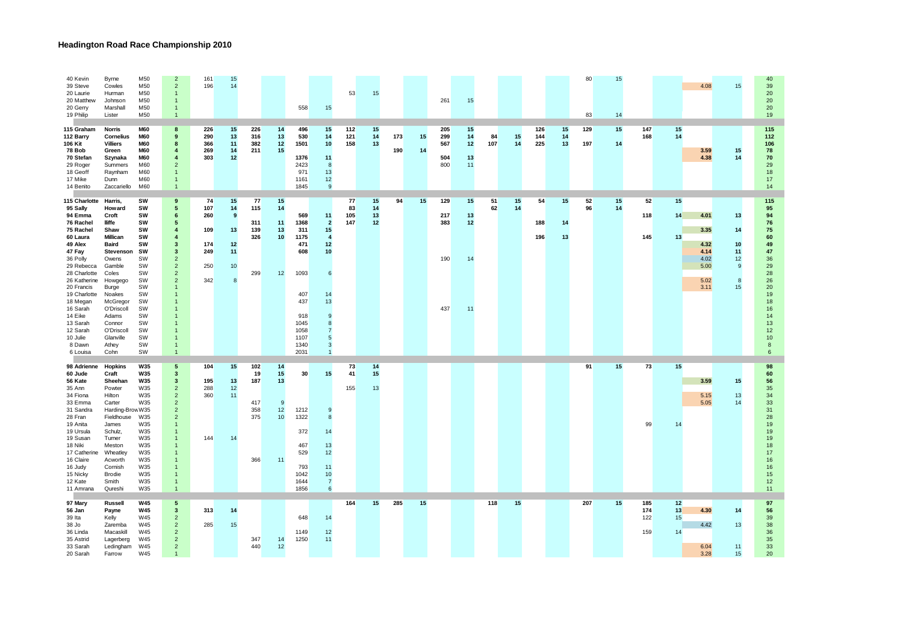## **Headington Road Race Championship 2010**

| 40 Kevin<br>39 Steve<br>20 Laurie<br>20 Matthew<br>20 Gerry<br>19 Philip                                                                                                                                                                                                                     | Byrne<br>Cowles<br>Hurman<br>Johnson<br>Marshall<br>Lister                                                                                                                                                                    | M50<br>M50<br>M50<br>M50<br>M50<br>M50                                                                                                          | $\overline{2}$<br>$\overline{2}$<br>$\overline{1}$<br>$\overline{1}$<br>$\overline{1}$<br>$\overline{1}$                                                                                                                                                                                             | 161<br>196                                          | 15<br>14                                                |                                              |                                       | 558                                                                                                           | 15                                                                                                                                                      | 53                     | 15                   |            |          | 261                             | 15                         |           |          |                   |                | 80<br>83   | 15<br>14 |                          |                      | 4.08                                                         | 15                                         | 40<br>39<br>20<br>20<br>20<br>19                                                                                                                            |
|----------------------------------------------------------------------------------------------------------------------------------------------------------------------------------------------------------------------------------------------------------------------------------------------|-------------------------------------------------------------------------------------------------------------------------------------------------------------------------------------------------------------------------------|-------------------------------------------------------------------------------------------------------------------------------------------------|------------------------------------------------------------------------------------------------------------------------------------------------------------------------------------------------------------------------------------------------------------------------------------------------------|-----------------------------------------------------|---------------------------------------------------------|----------------------------------------------|---------------------------------------|---------------------------------------------------------------------------------------------------------------|---------------------------------------------------------------------------------------------------------------------------------------------------------|------------------------|----------------------|------------|----------|---------------------------------|----------------------------|-----------|----------|-------------------|----------------|------------|----------|--------------------------|----------------------|--------------------------------------------------------------|--------------------------------------------|-------------------------------------------------------------------------------------------------------------------------------------------------------------|
| 115 Graham<br>112 Barry<br>106 Kit<br>78 Bob<br>70 Stefan<br>29 Roger<br>18 Geoff<br>17 Mike<br>14 Benito                                                                                                                                                                                    | <b>Norris</b><br>Cornelius<br><b>Villiers</b><br>Green<br>Szynaka<br>Summers<br>Raynham<br>Dunn<br>Zaccariello                                                                                                                | <b>M60</b><br><b>M60</b><br><b>M60</b><br><b>M60</b><br><b>M60</b><br>M60<br>M60<br>M60<br>M60                                                  | 8<br>9<br>8<br>$\overline{4}$<br>$\overline{4}$<br>$\overline{2}$<br>$\overline{1}$<br>$\overline{1}$<br>$\overline{1}$                                                                                                                                                                              | 226<br>290<br>366<br>269<br>303                     | 15<br>13<br>11<br>14<br>12                              | 226<br>316<br>382<br>211                     | 14<br>13<br>12<br>15                  | 496<br>530<br>1501<br>1376<br>2423<br>971<br>1161<br>1845                                                     | 15<br>14<br>10<br>11<br>8<br>13<br>12<br>9                                                                                                              | 112<br>121<br>158      | 15<br>14<br>13       | 173<br>190 | 15<br>14 | 205<br>299<br>567<br>504<br>800 | 15<br>14<br>12<br>13<br>11 | 84<br>107 | 15<br>14 | 126<br>144<br>225 | 15<br>14<br>13 | 129<br>197 | 15<br>14 | 147<br>168               | 15<br>14             | 3.59<br>4.38                                                 | 15<br>14                                   | 115<br>112<br>106<br>78<br>70<br>29<br>18<br>17<br>14                                                                                                       |
| 115 Charlotte Harris,<br>95 Sally<br>94 Emma<br>76 Rachel<br>75 Rachel<br>60 Laura<br>49 Alex<br>47 Fay<br>36 Polly<br>29 Rebecca<br>28 Charlotte<br>26 Katherine<br>20 Francis<br>19 Charlotte<br>18 Megan<br>16 Sarah<br>14 Eike<br>13 Sarah<br>12 Sarah<br>10 Julie<br>8 Dawn<br>6 Louisa | Howard<br>Croft<br>lliffe<br>Shaw<br><b>Millican</b><br>Baird<br>Stevenson<br>Owens<br>Gamble<br>Coles<br>Howgego<br>Burge<br>Noakes<br>McGregor<br>O'Driscoll<br>Adams<br>Connor<br>O'Driscoll<br>Glanville<br>Athey<br>Cohn | SW<br>SW<br>SW<br>SW<br>SW<br>SW<br>SW<br>SW<br>SW<br>SW<br>SW<br>SW<br>SW<br>SW<br>SW<br>SW<br>SW<br>SW<br>SW<br>SW<br>SW<br>SW                | 9<br>5<br>6<br>5<br>4<br>4<br>3<br>3<br>$\overline{2}$<br>$\overline{2}$<br>$\overline{2}$<br>$\overline{2}$<br>$\overline{1}$<br>$\overline{1}$<br>$\mathbf{1}$<br>$\overline{1}$<br>$\mathbf{1}$<br>$\overline{1}$<br>$\mathbf{1}$<br>$\overline{1}$<br>$\overline{1}$<br>$\overline{1}$           | 74<br>107<br>260<br>109<br>174<br>249<br>250<br>342 | 15<br>14<br>9<br>13<br>12<br>11<br>10 <sup>°</sup><br>8 | 77<br>115<br>311<br>139<br>326<br>299        | 15<br>14<br>11<br>13<br>10<br>12      | 569<br>1368<br>311<br>1175<br>471<br>608<br>1093<br>407<br>437<br>918<br>1045<br>1058<br>1107<br>1340<br>2031 | 11<br>$\overline{2}$<br>15<br>$\overline{a}$<br>12<br>10<br>6<br>14<br>13<br>9<br>$\mathbf{8}$<br>$\overline{7}$<br>5<br>$\mathbf{3}$<br>$\overline{1}$ | 77<br>83<br>105<br>147 | 15<br>14<br>13<br>12 | 94         | 15       | 129<br>217<br>383<br>190<br>437 | 15<br>13<br>12<br>14<br>11 | 51<br>62  | 15<br>14 | 54<br>188<br>196  | 15<br>14<br>13 | 52<br>96   | 15<br>14 | 52<br>118<br>145         | 15<br>14<br>13       | 4.01<br>3.35<br>4.32<br>4.14<br>4.02<br>5.00<br>5.02<br>3.11 | 13<br>14<br>10<br>11<br>12<br>9<br>8<br>15 | 115<br>95<br>94<br>76<br>75<br>60<br>49<br>47<br>36<br>29<br>28<br>26<br>20<br>19<br>18<br>16<br>14<br>13<br>12<br>10<br>$\boldsymbol{8}$<br>$6\phantom{1}$ |
| 98 Adrienne<br>60 Jude<br>56 Kate<br>35 Ann<br>34 Fiona<br>33 Emma<br>31 Sandra<br>28 Fran<br>19 Anita<br>19 Ursula<br>19 Susan<br>18 Niki<br>17 Catherine<br>16 Claire<br>16 Judy<br>15 Nicky<br>12 Kate<br>11 Amrana                                                                       | <b>Hopkins</b><br>Craft<br>Sheehan<br>Powter<br>Hilton<br>Carter<br>Harding-Brow W35<br>Fieldhouse<br>James<br>Schulz,<br>Turner<br>Meston<br>Wheatley<br>Acworth<br>Cornish<br><b>Brodie</b><br>Smith<br>Qureshi             | <b>W35</b><br><b>W35</b><br><b>W35</b><br>W35<br>W35<br>W35<br><b>W35</b><br>W35<br>W35<br>W35<br>W35<br>W35<br>W35<br>W35<br>W35<br>W35<br>W35 | 5<br>$\mathbf{3}$<br>3<br>$\overline{2}$<br>$\overline{2}$<br>$\overline{2}$<br>$\overline{2}$<br>$\overline{2}$<br>$\overline{1}$<br>$\overline{1}$<br>$\overline{1}$<br>$\overline{1}$<br>$\overline{1}$<br>$\overline{1}$<br>$\overline{1}$<br>$\overline{1}$<br>$\overline{1}$<br>$\overline{1}$ | 104<br>195<br>288<br>360<br>144                     | 15<br>13<br>12<br>11<br>14                              | 102<br>19<br>187<br>417<br>358<br>375<br>366 | 14<br>15<br>13<br>9<br>12<br>10<br>11 | 30<br>1212<br>1322<br>372<br>467<br>529<br>793<br>1042<br>1644<br>1856                                        | 15<br>9<br>$\mathbf{8}$<br>14<br>13<br>12<br>11<br>10<br>$\overline{7}$<br>6                                                                            | 73<br>41<br>155        | 14<br>15<br>13       |            |          |                                 |                            |           |          |                   |                | 91         | 15       | 73<br>99                 | 15<br>14             | 3.59<br>5.15<br>5.05                                         | 15<br>13<br>14                             | 98<br>60<br>56<br>$35\,$<br>34<br>33<br>31<br>28<br>19<br>19<br>19<br>18<br>17<br>16<br>16<br>15<br>12<br>11                                                |
| 97 Mary<br>56 Jan<br>39 Ita<br>38 Jo<br>36 Linda<br>35 Astrid<br>33 Sarah<br>20 Sarah                                                                                                                                                                                                        | <b>Russell</b><br>Payne<br>Kelly<br>Zaremba<br>Macaskill<br>Lagerberg<br>Ledingham<br>Farrow                                                                                                                                  | <b>W45</b><br><b>W45</b><br>W45<br>W45<br><b>W45</b><br>W45<br>W45<br>W45                                                                       | $5^{\circ}$<br>$\mathbf{3}$<br>$\overline{2}$<br>$\overline{2}$<br>$\overline{2}$<br>$\overline{2}$<br>$\overline{2}$                                                                                                                                                                                | 313<br>285                                          | 14<br>15                                                | 347<br>440                                   | 14<br>12                              | 648<br>1149<br>1250                                                                                           | 14<br>12<br>11                                                                                                                                          | 164                    | 15                   | 285        | 15       |                                 |                            | 118       | 15       |                   |                | 207        | 15       | 185<br>174<br>122<br>159 | 12<br>13<br>15<br>14 | 4.30<br>4.42<br>6.04<br>3.28                                 | 14<br>13<br>11<br>15                       | 97<br>56<br>39<br>38<br>36<br>35<br>33<br>20                                                                                                                |